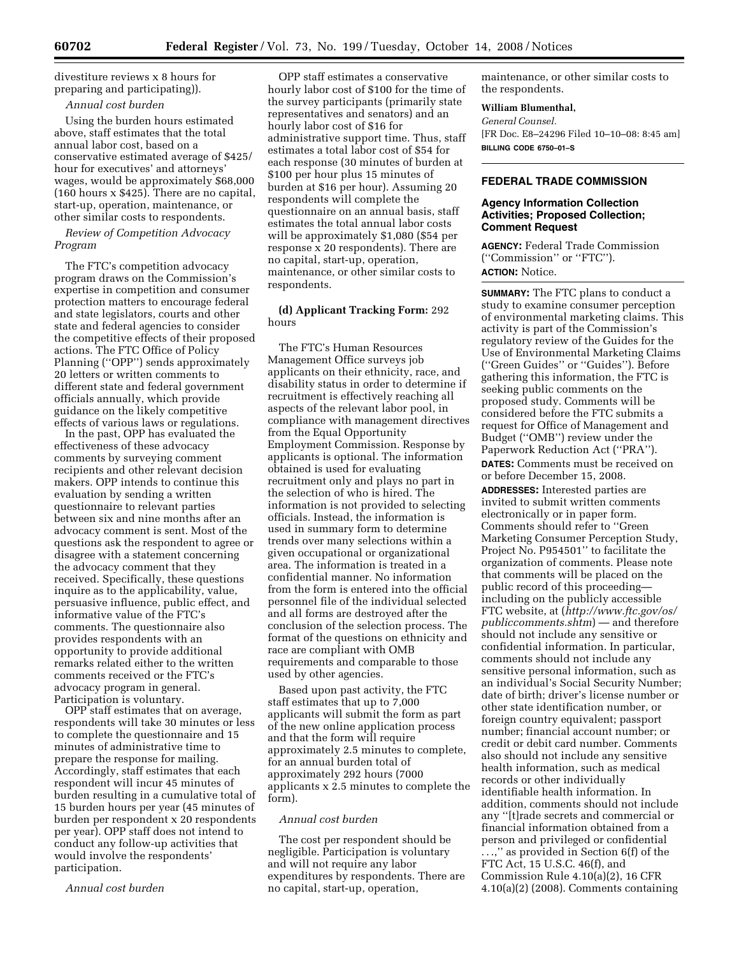divestiture reviews x 8 hours for preparing and participating)).

### *Annual cost burden*

Using the burden hours estimated above, staff estimates that the total annual labor cost, based on a conservative estimated average of \$425/ hour for executives' and attorneys' wages, would be approximately \$68,000 (160 hours x \$425). There are no capital, start-up, operation, maintenance, or other similar costs to respondents.

# *Review of Competition Advocacy Program*

The FTC's competition advocacy program draws on the Commission's expertise in competition and consumer protection matters to encourage federal and state legislators, courts and other state and federal agencies to consider the competitive effects of their proposed actions. The FTC Office of Policy Planning (''OPP'') sends approximately 20 letters or written comments to different state and federal government officials annually, which provide guidance on the likely competitive effects of various laws or regulations.

In the past, OPP has evaluated the effectiveness of these advocacy comments by surveying comment recipients and other relevant decision makers. OPP intends to continue this evaluation by sending a written questionnaire to relevant parties between six and nine months after an advocacy comment is sent. Most of the questions ask the respondent to agree or disagree with a statement concerning the advocacy comment that they received. Specifically, these questions inquire as to the applicability, value, persuasive influence, public effect, and informative value of the FTC's comments. The questionnaire also provides respondents with an opportunity to provide additional remarks related either to the written comments received or the FTC's advocacy program in general. Participation is voluntary.

OPP staff estimates that on average, respondents will take 30 minutes or less to complete the questionnaire and 15 minutes of administrative time to prepare the response for mailing. Accordingly, staff estimates that each respondent will incur 45 minutes of burden resulting in a cumulative total of 15 burden hours per year (45 minutes of burden per respondent x 20 respondents per year). OPP staff does not intend to conduct any follow-up activities that would involve the respondents' participation.

*Annual cost burden* 

OPP staff estimates a conservative hourly labor cost of \$100 for the time of the survey participants (primarily state representatives and senators) and an hourly labor cost of \$16 for administrative support time. Thus, staff estimates a total labor cost of \$54 for each response (30 minutes of burden at \$100 per hour plus 15 minutes of burden at \$16 per hour). Assuming 20 respondents will complete the questionnaire on an annual basis, staff estimates the total annual labor costs will be approximately \$1,080 (\$54 per response x 20 respondents). There are no capital, start-up, operation, maintenance, or other similar costs to respondents.

# **(d) Applicant Tracking Form:** 292 hours

The FTC's Human Resources Management Office surveys job applicants on their ethnicity, race, and disability status in order to determine if recruitment is effectively reaching all aspects of the relevant labor pool, in compliance with management directives from the Equal Opportunity Employment Commission. Response by applicants is optional. The information obtained is used for evaluating recruitment only and plays no part in the selection of who is hired. The information is not provided to selecting officials. Instead, the information is used in summary form to determine trends over many selections within a given occupational or organizational area. The information is treated in a confidential manner. No information from the form is entered into the official personnel file of the individual selected and all forms are destroyed after the conclusion of the selection process. The format of the questions on ethnicity and race are compliant with OMB requirements and comparable to those used by other agencies.

Based upon past activity, the FTC staff estimates that up to 7,000 applicants will submit the form as part of the new online application process and that the form will require approximately 2.5 minutes to complete, for an annual burden total of approximately 292 hours (7000 applicants x 2.5 minutes to complete the form).

#### *Annual cost burden*

The cost per respondent should be negligible. Participation is voluntary and will not require any labor expenditures by respondents. There are no capital, start-up, operation,

maintenance, or other similar costs to the respondents.

### **William Blumenthal,**

*General Counsel.*  [FR Doc. E8–24296 Filed 10–10–08: 8:45 am] **BILLING CODE 6750–01–S** 

### **FEDERAL TRADE COMMISSION**

### **Agency Information Collection Activities; Proposed Collection; Comment Request**

**AGENCY:** Federal Trade Commission (''Commission'' or ''FTC''). **ACTION:** Notice.

**SUMMARY:** The FTC plans to conduct a study to examine consumer perception of environmental marketing claims. This activity is part of the Commission's regulatory review of the Guides for the Use of Environmental Marketing Claims (''Green Guides'' or ''Guides''). Before gathering this information, the FTC is seeking public comments on the proposed study. Comments will be considered before the FTC submits a request for Office of Management and Budget (''OMB'') review under the Paperwork Reduction Act (''PRA''). **DATES:** Comments must be received on or before December 15, 2008.

**ADDRESSES:** Interested parties are invited to submit written comments electronically or in paper form. Comments should refer to ''Green Marketing Consumer Perception Study, Project No. P954501'' to facilitate the organization of comments. Please note that comments will be placed on the public record of this proceeding including on the publicly accessible FTC website, at (*http://www.ftc.gov/os/ publiccomments.shtm*) — and therefore should not include any sensitive or confidential information. In particular, comments should not include any sensitive personal information, such as an individual's Social Security Number; date of birth; driver's license number or other state identification number, or foreign country equivalent; passport number; financial account number; or credit or debit card number. Comments also should not include any sensitive health information, such as medical records or other individually identifiable health information. In addition, comments should not include any ''[t]rade secrets and commercial or financial information obtained from a person and privileged or confidential . . .,'' as provided in Section 6(f) of the FTC Act, 15 U.S.C. 46(f), and Commission Rule 4.10(a)(2), 16 CFR 4.10(a)(2) (2008). Comments containing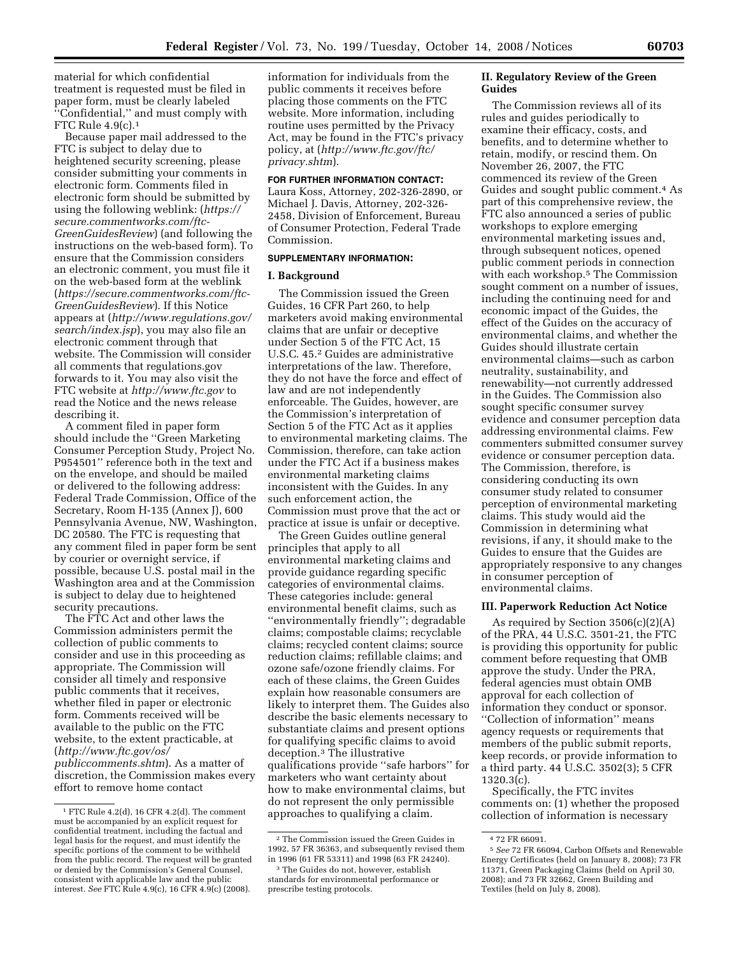material for which confidential treatment is requested must be filed in paper form, must be clearly labeled ''Confidential,'' and must comply with FTC Rule 4.9(c).1

Because paper mail addressed to the FTC is subject to delay due to heightened security screening, please consider submitting your comments in electronic form. Comments filed in electronic form should be submitted by using the following weblink: (*https:// secure.commentworks.com/ftc-GreenGuidesReview*) (and following the instructions on the web-based form). To ensure that the Commission considers an electronic comment, you must file it on the web-based form at the weblink (*https://secure.commentworks.com/ftc-GreenGuidesReview*). If this Notice appears at (*http://www.regulations.gov/ search/index.jsp*), you may also file an electronic comment through that website. The Commission will consider all comments that regulations.gov forwards to it. You may also visit the FTC website at *http://www.ftc.gov* to read the Notice and the news release describing it.

A comment filed in paper form should include the ''Green Marketing Consumer Perception Study, Project No. P954501'' reference both in the text and on the envelope, and should be mailed or delivered to the following address: Federal Trade Commission, Office of the Secretary, Room H-135 (Annex J), 600 Pennsylvania Avenue, NW, Washington, DC 20580. The FTC is requesting that any comment filed in paper form be sent by courier or overnight service, if possible, because U.S. postal mail in the Washington area and at the Commission is subject to delay due to heightened security precautions.

The FTC Act and other laws the Commission administers permit the collection of public comments to consider and use in this proceeding as appropriate. The Commission will consider all timely and responsive public comments that it receives, whether filed in paper or electronic form. Comments received will be available to the public on the FTC website, to the extent practicable, at (*http://www.ftc.gov/os/ publiccomments.shtm*). As a matter of discretion, the Commission makes every effort to remove home contact

information for individuals from the public comments it receives before placing those comments on the FTC website. More information, including routine uses permitted by the Privacy Act, may be found in the FTC's privacy policy, at (*http://www.ftc.gov/ftc/ privacy.shtm*).

# **FOR FURTHER INFORMATION CONTACT:**

Laura Koss, Attorney, 202-326-2890, or Michael J. Davis, Attorney, 202-326- 2458, Division of Enforcement, Bureau of Consumer Protection, Federal Trade Commission.

### **SUPPLEMENTARY INFORMATION:**

### **I. Background**

The Commission issued the Green Guides, 16 CFR Part 260, to help marketers avoid making environmental claims that are unfair or deceptive under Section 5 of the FTC Act, 15 U.S.C. 45.2 Guides are administrative interpretations of the law. Therefore, they do not have the force and effect of law and are not independently enforceable. The Guides, however, are the Commission's interpretation of Section 5 of the FTC Act as it applies to environmental marketing claims. The Commission, therefore, can take action under the FTC Act if a business makes environmental marketing claims inconsistent with the Guides. In any such enforcement action, the Commission must prove that the act or practice at issue is unfair or deceptive.

The Green Guides outline general principles that apply to all environmental marketing claims and provide guidance regarding specific categories of environmental claims. These categories include: general environmental benefit claims, such as ''environmentally friendly''; degradable claims; compostable claims; recyclable claims; recycled content claims; source reduction claims; refillable claims; and ozone safe/ozone friendly claims. For each of these claims, the Green Guides explain how reasonable consumers are likely to interpret them. The Guides also describe the basic elements necessary to substantiate claims and present options for qualifying specific claims to avoid deception.3 The illustrative qualifications provide ''safe harbors'' for marketers who want certainty about how to make environmental claims, but do not represent the only permissible approaches to qualifying a claim.

### **II. Regulatory Review of the Green Guides**

The Commission reviews all of its rules and guides periodically to examine their efficacy, costs, and benefits, and to determine whether to retain, modify, or rescind them. On November 26, 2007, the FTC commenced its review of the Green Guides and sought public comment.4 As part of this comprehensive review, the FTC also announced a series of public workshops to explore emerging environmental marketing issues and, through subsequent notices, opened public comment periods in connection with each workshop.5 The Commission sought comment on a number of issues, including the continuing need for and economic impact of the Guides, the effect of the Guides on the accuracy of environmental claims, and whether the Guides should illustrate certain environmental claims—such as carbon neutrality, sustainability, and renewability—not currently addressed in the Guides. The Commission also sought specific consumer survey evidence and consumer perception data addressing environmental claims. Few commenters submitted consumer survey evidence or consumer perception data. The Commission, therefore, is considering conducting its own consumer study related to consumer perception of environmental marketing claims. This study would aid the Commission in determining what revisions, if any, it should make to the Guides to ensure that the Guides are appropriately responsive to any changes in consumer perception of environmental claims.

### **III. Paperwork Reduction Act Notice**

As required by Section 3506(c)(2)(A) of the PRA, 44 U.S.C. 3501-21, the FTC is providing this opportunity for public comment before requesting that OMB approve the study. Under the PRA, federal agencies must obtain OMB approval for each collection of information they conduct or sponsor. ''Collection of information'' means agency requests or requirements that members of the public submit reports, keep records, or provide information to a third party. 44 U.S.C. 3502(3); 5 CFR 1320.3(c).

Specifically, the FTC invites comments on: (1) whether the proposed collection of information is necessary

<sup>1</sup> FTC Rule 4.2(d), 16 CFR 4.2(d). The comment must be accompanied by an explicit request for confidential treatment, including the factual and legal basis for the request, and must identify the specific portions of the comment to be withheld from the public record. The request will be granted or denied by the Commission's General Counsel, consistent with applicable law and the public interest. *See* FTC Rule 4.9(c), 16 CFR 4.9(c) (2008).

<sup>2</sup> The Commission issued the Green Guides in 1992, 57 FR 36363, and subsequently revised them in 1996 (61 FR 53311) and 1998 (63 FR 24240).

<sup>3</sup> The Guides do not, however, establish standards for environmental performance or prescribe testing protocols.

<sup>4</sup> 72 FR 66091.

<sup>5</sup> *See* 72 FR 66094, Carbon Offsets and Renewable Energy Certificates (held on January 8, 2008); 73 FR 11371, Green Packaging Claims (held on April 30, 2008); and 73 FR 32662, Green Building and Textiles (held on July 8, 2008).